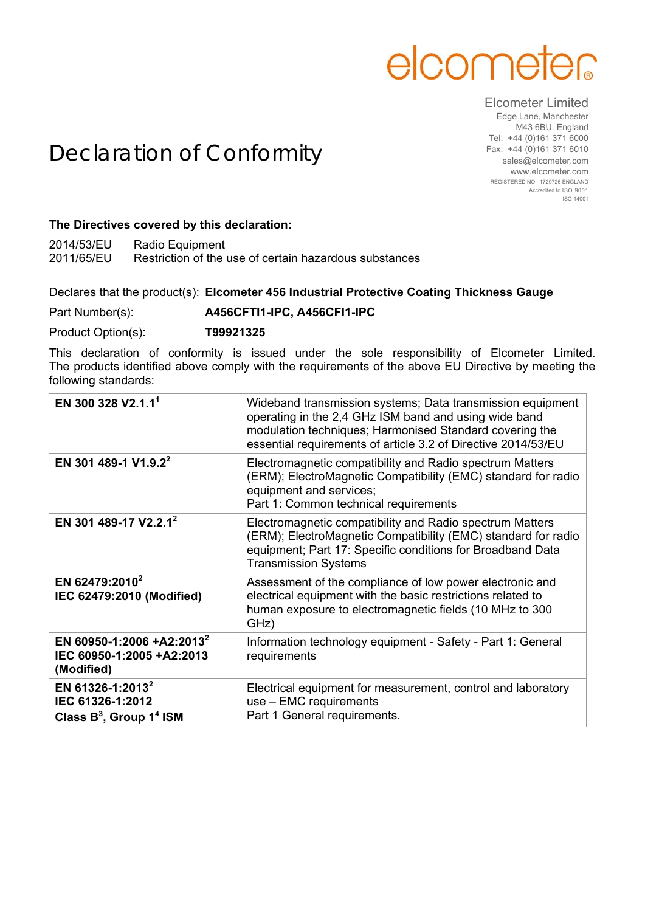## elcometer

## Elcometer Limited

Declaration of Conformity

Edge Lane, Manchester M43 6BU. England Tel: +44 (0)161 371 6000 Fax: +44 (0)161 371 6010 sales@elcometer.com www.elcometer.com REGISTERED NO. 1729726 ENGLAND Accredited to ISO 9001 ISO 14001

## **The Directives covered by this declaration:**

2014/53/EU Radio Equipment 2011/65/EU Restriction of the use of certain hazardous substances

Declares that the product(s): **Elcometer 456 Industrial Protective Coating Thickness Gauge**

Part Number(s): **A456CFTI1-IPC, A456CFI1-IPC**

Product Option(s): **T99921325**

This declaration of conformity is issued under the sole responsibility of Elcometer Limited. The products identified above comply with the requirements of the above EU Directive by meeting the following standards:

| EN 300 328 V2.1.1 <sup>1</sup>                                                    | Wideband transmission systems; Data transmission equipment<br>operating in the 2,4 GHz ISM band and using wide band<br>modulation techniques; Harmonised Standard covering the<br>essential requirements of article 3.2 of Directive 2014/53/EU |
|-----------------------------------------------------------------------------------|-------------------------------------------------------------------------------------------------------------------------------------------------------------------------------------------------------------------------------------------------|
| EN 301 489-1 V1.9.2 <sup>2</sup>                                                  | Electromagnetic compatibility and Radio spectrum Matters<br>(ERM); ElectroMagnetic Compatibility (EMC) standard for radio<br>equipment and services;<br>Part 1: Common technical requirements                                                   |
| EN 301 489-17 V2.2.1 <sup>2</sup>                                                 | Electromagnetic compatibility and Radio spectrum Matters<br>(ERM); ElectroMagnetic Compatibility (EMC) standard for radio<br>equipment; Part 17: Specific conditions for Broadband Data<br><b>Transmission Systems</b>                          |
| EN 62479:2010 <sup>2</sup><br>IEC 62479:2010 (Modified)                           | Assessment of the compliance of low power electronic and<br>electrical equipment with the basic restrictions related to<br>human exposure to electromagnetic fields (10 MHz to 300<br>GHz)                                                      |
| EN 60950-1:2006 +A2:2013 <sup>2</sup><br>IEC 60950-1:2005 +A2:2013<br>(Modified)  | Information technology equipment - Safety - Part 1: General<br>requirements                                                                                                                                                                     |
| EN 61326-1:2013 <sup>2</sup><br>IEC 61326-1:2012<br>Class $B^3$ , Group $1^4$ ISM | Electrical equipment for measurement, control and laboratory<br>use - EMC requirements<br>Part 1 General requirements.                                                                                                                          |